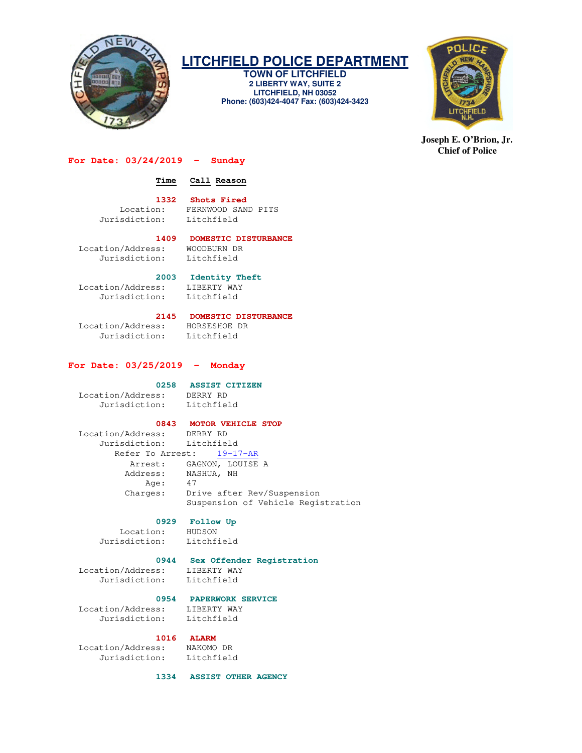

# **LITCHFIELD POLICE DEPARTMENT**

**TOWN OF LITCHFIELD 2 LIBERTY WAY, SUITE 2 LITCHFIELD, NH 03052 Phone: (603)424-4047 Fax: (603)424-3423** 



**Joseph E. O'Brion, Jr. Chief of Police** 

### **For Date: 03/24/2019 - Sunday**

### **Time Call Reason**

### **1332 Shots Fired**

Location: FERNWOOD SAND PITS<br>Jurisdiction: Litchfield

# Litchfield

 **1409 DOMESTIC DISTURBANCE**  Location/Address: WOODBURN DR Jurisdiction: Litchfield

### **2003 Identity Theft**

Location/Address: LIBERTY WAY<br>Jurisdiction: Litchfield Jurisdiction:

### **2145 DOMESTIC DISTURBANCE**

 Location/Address: HORSESHOE DR Jurisdiction: Litchfield

### **For Date: 03/25/2019 - Monday**

### **0258 ASSIST CITIZEN**

 Location/Address: DERRY RD Jurisdiction: Litchfield

### **0843 MOTOR VEHICLE STOP**

 Location/Address: DERRY RD Jurisdiction: Litchfield Refer To Arrest: 19-17-AR Arrest: GAGNON, LOUISE A Address: NASHUA, NH Age: 47 Charges: Drive after Rev/Suspension Suspension of Vehicle Registration

# 0929 **Follow Up**<br> **RIDSON**

Location: Jurisdiction: Litchfield

# **0944 Sex Offender Registration**

 Location/Address: LIBERTY WAY Jurisdiction: Litchfield

 **0954 PAPERWORK SERVICE**  Location/Address: LIBERTY WAY

# Jurisdiction: Litchfield

Location/Address: Jurisdiction: Litchfield

1016 **ALARM**<br> **S:** NAKOMO DR

 **1334 ASSIST OTHER AGENCY**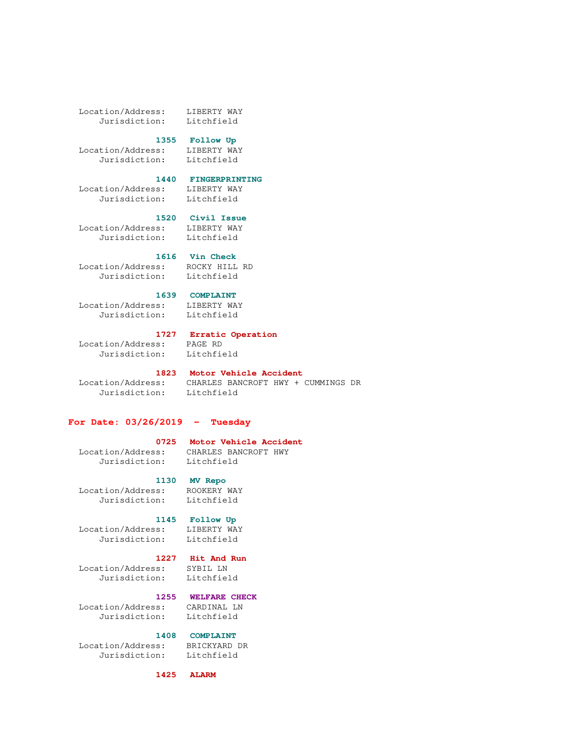Location/Address: LIBERTY WAY Jurisdiction: Litchfield

### **1355 Follow Up**

 Location/Address: LIBERTY WAY Jurisdiction: Litchfield

### **1440 FINGERPRINTING**

 Location/Address: LIBERTY WAY Jurisdiction: Litchfield

 **1520 Civil Issue**  Location/Address: LIBERTY WAY Jurisdiction: Litchfield

 **1616 Vin Check**  Location/Address: ROCKY HILL RD

Jurisdiction: Litchfield

### **1639 COMPLAINT**

 Location/Address: LIBERTY WAY Jurisdiction: Litchfield

### **1727 Erratic Operation**

 Location/Address: PAGE RD Jurisdiction: Litchfield

 **1823 Motor Vehicle Accident**  Jurisdiction: Litchfield

## Location/Address: CHARLES BANCROFT HWY + CUMMINGS DR

### **For Date: 03/26/2019 - Tuesday**

### **0725 Motor Vehicle Accident**

 Location/Address: CHARLES BANCROFT HWY Jurisdiction: Litchfield

 **1130 MV Repo** 

## Location/Address: ROOKERY WAY Jurisdiction: Litchfield

### **1145 Follow Up**

 Location/Address: LIBERTY WAY Jurisdiction: Litchfield

## **1227 Hit And Run**

 Location/Address: SYBIL LN Jurisdiction: Litchfield

### **1255 WELFARE CHECK**

 Location/Address: CARDINAL LN Jurisdiction: Litchfield

### **1408 COMPLAINT**

 Location/Address: BRICKYARD DR Jurisdiction: Litchfield

# **1425 ALARM**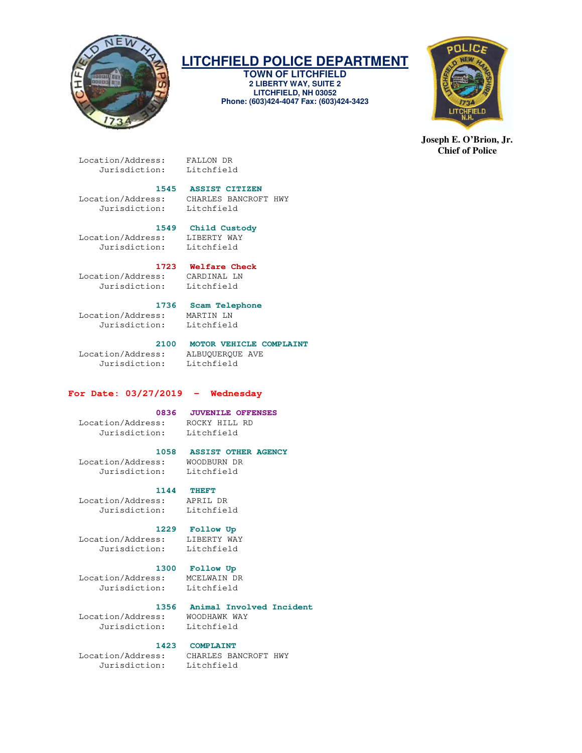

# **LITCHFIELD POLICE DEPARTMENT**

**TOWN OF LITCHFIELD 2 LIBERTY WAY, SUITE 2 LITCHFIELD, NH 03052 Phone: (603)424-4047 Fax: (603)424-3423** 



**Joseph E. O'Brion, Jr. Chief of Police** 

 Location/Address: FALLON DR Jurisdiction:

### **1545 ASSIST CITIZEN**

 Location/Address: CHARLES BANCROFT HWY Jurisdiction:

 **1549 Child Custody**  Location/Address: LIBERTY WAY

Jurisdiction: Litchfield

# 1723 **Welfare Check**<br>  $\text{S}:\qquad \text{CARDINAL}$  LN

Location/Address: Jurisdiction: Litchfield

 **1736 Scam Telephone**  Location/Address: MARTIN LN Jurisdiction:

 Location/Address: ALBUQUERQUE AVE Jurisdiction: Litchfield

## **2100 MOTOR VEHICLE COMPLAINT**

### **For Date: 03/27/2019 - Wednesday**

### **0836 JUVENILE OFFENSES**

### Location/Address: ROCKY HILL RD Jurisdiction: Litchfield

### **1058 ASSIST OTHER AGENCY**

 Location/Address: WOODBURN DR Jurisdiction: Litchfield

### **1144 THEFT**

 Location/Address: APRIL DR Jurisdiction: Litchfield

## **1229 Follow Up**

 Location/Address: LIBERTY WAY Jurisdiction: Litchfield

## **1300 Follow Up**

 Location/Address: MCELWAIN DR Jurisdiction:

## **1356 Animal Involved Incident**

Location/Address: WOODHAWK WAY<br>Jurisdiction: Litchfield Jurisdiction:

### **1423 COMPLAINT**

Jurisdiction: Litchfield

Location/Address: CHARLES BANCROFT HWY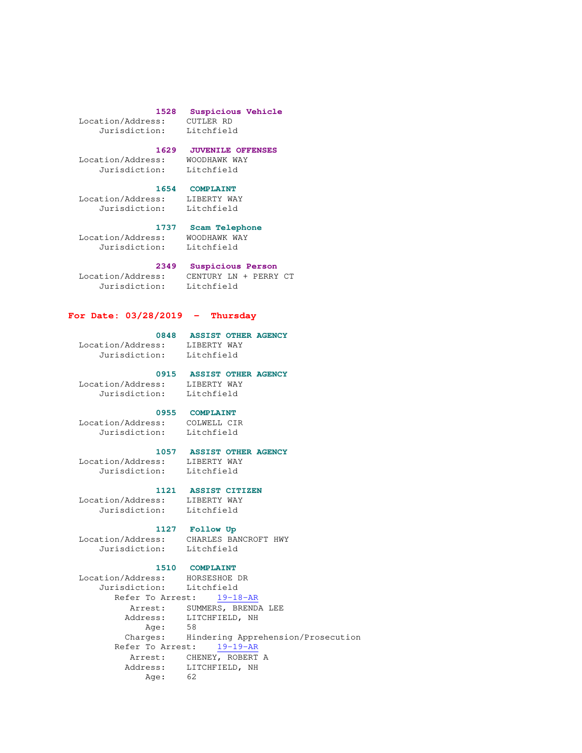# Location/Address: CUTLER RD

# **1528 Suspicious Vehicle**

Jurisdiction:

### **1629 JUVENILE OFFENSES**

 Location/Address: WOODHAWK WAY Jurisdiction: Litchfield

# **1654 COMPLAINT**<br> **BS:** LIBERTY WAY

Location/Address: Jurisdiction: Litchfield

# **1737 Scam Telephone**

Location/Address: WOODHAWK WAY<br>Jurisdiction: Litchfield

Jurisdiction:

## **2349 Suspicious Person**

Jurisdiction: Litchfield

Location/Address: CENTURY LN + PERRY CT

### **For Date: 03/28/2019 - Thursday**

### **0848 ASSIST OTHER AGENCY**  Location/Address: LIBERTY WAY

Jurisdiction: Litchfield

# Location/Address: LIBERTY WAY

## **0915 ASSIST OTHER AGENCY**

Jurisdiction: Litchfield

### **0955 COMPLAINT**

 Location/Address: COLWELL CIR Jurisdiction: Litchfield

### **1057 ASSIST OTHER AGENCY**

 Location/Address: LIBERTY WAY Jurisdiction: Litchfield

# 1121 **ASSIST CITIZEN**<br>ss: LIBERTY WAY

Location/Address: Jurisdiction: Litchfield

## **1127 Follow Up**

 Location/Address: CHARLES BANCROFT HWY Jurisdiction: Litchfield

## **1510 COMPLAINT**

```
 Location/Address: HORSESHOE DR 
 Jurisdiction: Litchfield 
        Refer To Arrest: 19-18-AR
          Arrest: SUMMERS, BRENDA LEE 
          Address: LITCHFIELD, NH 
             Age: 58 
          Charges: Hindering Apprehension/Prosecution 
        Refer To Arrest: 19-19-AR
Arrest: CHENEY, ROBERT A
 Address: LITCHFIELD, NH 
             Age: 62
```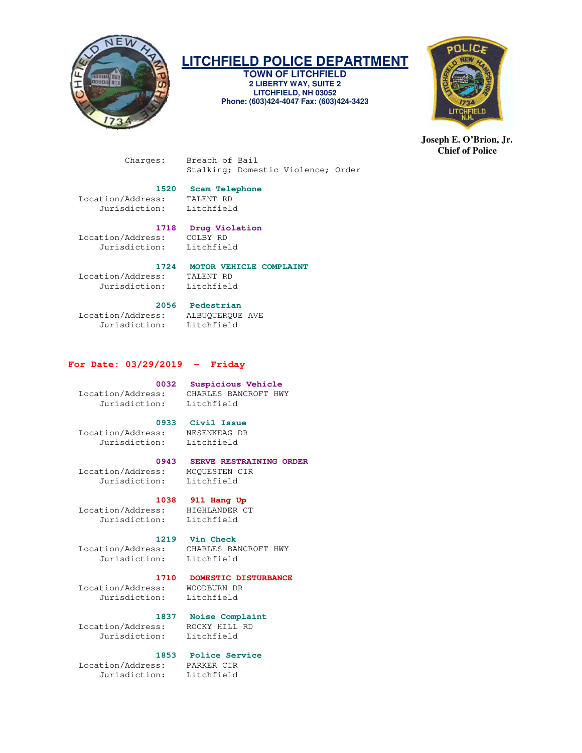

## **LITCHFIELD POLICE DEPARTMENT**

**TOWN OF LITCHFIELD 2 LIBERTY WAY, SUITE 2 LITCHFIELD, NH 03052 Phone: (603)424-4047 Fax: (603)424-3423** 



**Joseph E. O'Brion, Jr. Chief of Police** 

 Charges: Breach of Bail Stalking; Domestic Violence; Order

## **1520 Scam Telephone**

 Location/Address: TALENT RD Jurisdiction:

## **1718 Drug Violation**

 Location/Address: COLBY RD Jurisdiction: Litchfield

# **1724 MOTOR VEHICLE COMPLAINT**<br> **IS:** TALENT RD

Location/Address: Jurisdiction: Litchfield

### **2056 Pedestrian**

 Location/Address: ALBUQUERQUE AVE Jurisdiction: Litchfield

### **For Date: 03/29/2019 - Friday**

## **0032 Suspicious Vehicle**

 Location/Address: CHARLES BANCROFT HWY Jurisdiction: Litchfield

## **0933 Civil Issue**

 Location/Address: NESENKEAG DR Jurisdiction: Litchfield

### **0943 SERVE RESTRAINING ORDER**

 Location/Address: MCQUESTEN CIR Jurisdiction: Litchfield

### **1038 911 Hang Up**

 Location/Address: HIGHLANDER CT Jurisdiction: Litchfield

### **1219 Vin Check**

Location/Address: CHARLES BANCROFT HWY

### **1710 DOMESTIC DISTURBANCE**

 Location/Address: WOODBURN DR Jurisdiction: Litchfield

Jurisdiction:

 **1837 Noise Complaint**  Location/Address: ROCKY HILL RD Jurisdiction: Litchfield

### **1853 Police Service**

 Location/Address: PARKER CIR Jurisdiction: Litchfield